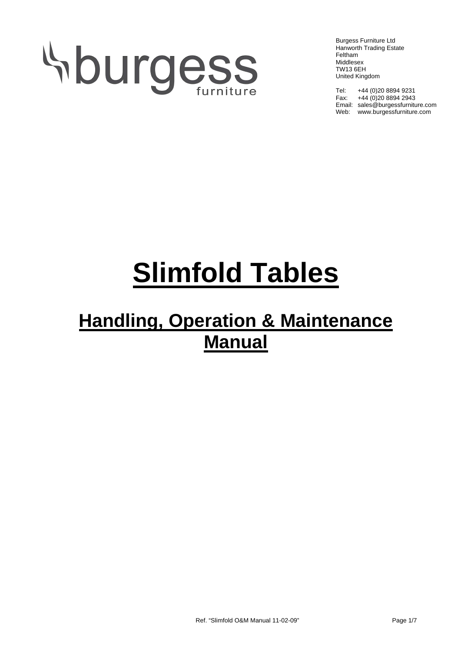# Hburgess

Burgess Furniture Ltd Hanworth Trading Estate Feltham Middlesex TW13 6EH United Kingdom

Tel: +44 (0)20 8894 9231 Fax: +44 (0)20 8894 2943 Email: sales@burgessfurniture.com Web: www.burgessfurniture.com

# **Slimfold Tables**

## **Handling, Operation & Maintenance Manual**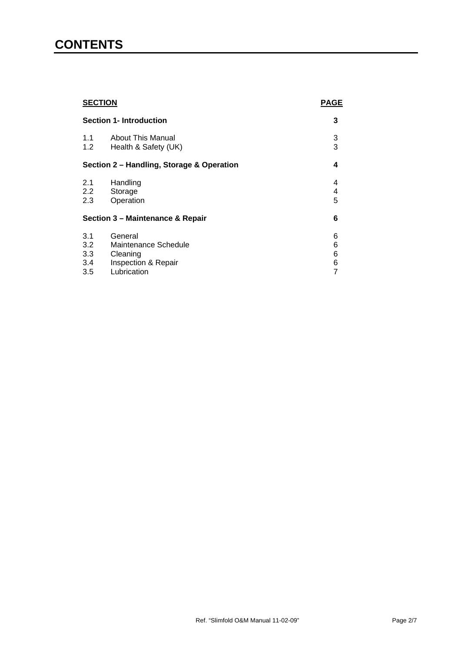### **CONTENTS**

| <b>SECTION</b><br><b>Section 1- Introduction</b> |                          | <b>PAGE</b> |
|--------------------------------------------------|--------------------------|-------------|
|                                                  |                          | 3           |
| 1.1                                              | <b>About This Manual</b> | 3           |
| 1.2                                              | Health & Safety (UK)     | 3           |
| Section 2 - Handling, Storage & Operation        |                          | 4           |
| 2.1                                              | Handling                 | 4           |
| $2.2^{\circ}$                                    | Storage                  | 4           |
| 2.3                                              | Operation                | 5           |
| Section 3 - Maintenance & Repair                 |                          | 6           |
| 3.1                                              | General                  | 6           |
| 3.2                                              | Maintenance Schedule     | 6           |
| 3.3                                              | Cleaning                 | 6           |
| 3.4                                              | Inspection & Repair      | 6           |
| 3.5                                              | Lubrication              | 7           |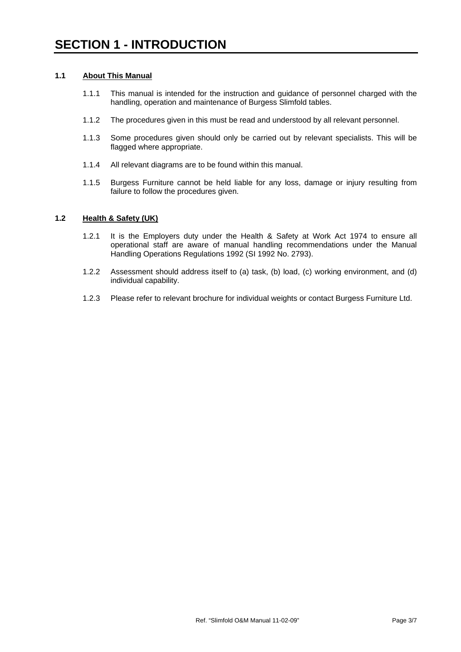#### **1.1 About This Manual**

- 1.1.1 This manual is intended for the instruction and guidance of personnel charged with the handling, operation and maintenance of Burgess Slimfold tables.
- 1.1.2 The procedures given in this must be read and understood by all relevant personnel.
- 1.1.3 Some procedures given should only be carried out by relevant specialists. This will be flagged where appropriate.
- 1.1.4 All relevant diagrams are to be found within this manual.
- 1.1.5 Burgess Furniture cannot be held liable for any loss, damage or injury resulting from failure to follow the procedures given.

#### **1.2 Health & Safety (UK)**

- 1.2.1 It is the Employers duty under the Health & Safety at Work Act 1974 to ensure all operational staff are aware of manual handling recommendations under the Manual Handling Operations Regulations 1992 (SI 1992 No. 2793).
- 1.2.2 Assessment should address itself to (a) task, (b) load, (c) working environment, and (d) individual capability.
- 1.2.3 Please refer to relevant brochure for individual weights or contact Burgess Furniture Ltd.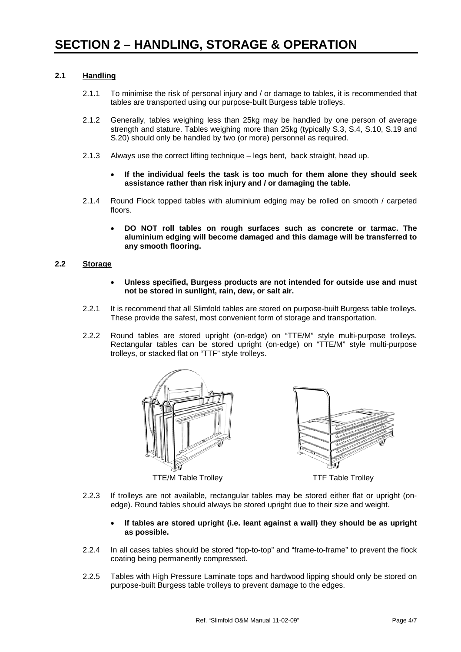#### **2.1 Handling**

- 2.1.1 To minimise the risk of personal injury and / or damage to tables, it is recommended that tables are transported using our purpose-built Burgess table trolleys.
- 2.1.2 Generally, tables weighing less than 25kg may be handled by one person of average strength and stature. Tables weighing more than 25kg (typically S.3, S.4, S.10, S.19 and S.20) should only be handled by two (or more) personnel as required.
- 2.1.3 Always use the correct lifting technique legs bent, back straight, head up.
	- **If the individual feels the task is too much for them alone they should seek assistance rather than risk injury and / or damaging the table.**
- 2.1.4 Round Flock topped tables with aluminium edging may be rolled on smooth / carpeted floors.
	- **DO NOT roll tables on rough surfaces such as concrete or tarmac. The aluminium edging will become damaged and this damage will be transferred to any smooth flooring.**

#### **2.2 Storage**

- **Unless specified, Burgess products are not intended for outside use and must not be stored in sunlight, rain, dew, or salt air.**
- 2.2.1 It is recommend that all Slimfold tables are stored on purpose-built Burgess table trolleys. These provide the safest, most convenient form of storage and transportation.
- 2.2.2 Round tables are stored upright (on-edge) on "TTE/M" style multi-purpose trolleys. Rectangular tables can be stored upright (on-edge) on "TTE/M" style multi-purpose trolleys, or stacked flat on "TTF" style trolleys.







TTE/M Table Trolley TTE Table Trolley

- 2.2.3 If trolleys are not available, rectangular tables may be stored either flat or upright (onedge). Round tables should always be stored upright due to their size and weight.
	- **If tables are stored upright (i.e. leant against a wall) they should be as upright as possible.**
- 2.2.4 In all cases tables should be stored "top-to-top" and "frame-to-frame" to prevent the flock coating being permanently compressed.
- 2.2.5 Tables with High Pressure Laminate tops and hardwood lipping should only be stored on purpose-built Burgess table trolleys to prevent damage to the edges.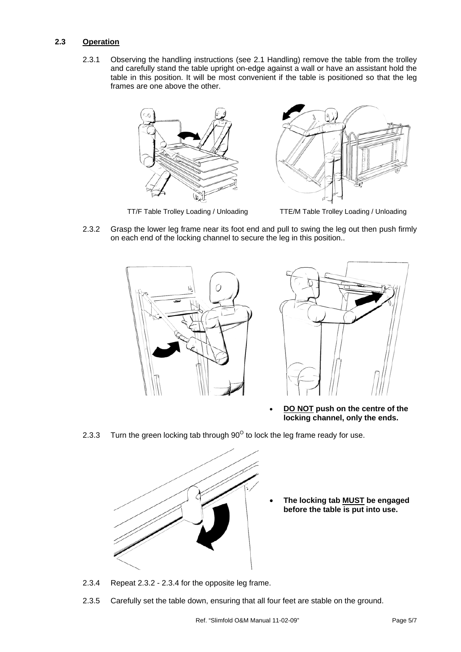#### **2.3 Operation**

2.3.1 Observing the handling instructions (see 2.1 Handling) remove the table from the trolley and carefully stand the table upright on-edge against a wall or have an assistant hold the table in this position. It will be most convenient if the table is positioned so that the leg frames are one above the other.





TT/F Table Trolley Loading / Unloading TTE/M Table Trolley Loading / Unloading

2.3.2 Grasp the lower leg frame near its foot end and pull to swing the leg out then push firmly on each end of the locking channel to secure the leg in this position..



• **DO NOT push on the centre of the locking channel, only the ends.**

2.3.3 Turn the green locking tab through  $90^{\circ}$  to lock the leg frame ready for use.



- **The locking tab MUST be engaged before the table is put into use.**
- 2.3.4 Repeat 2.3.2 2.3.4 for the opposite leg frame.
- 2.3.5 Carefully set the table down, ensuring that all four feet are stable on the ground.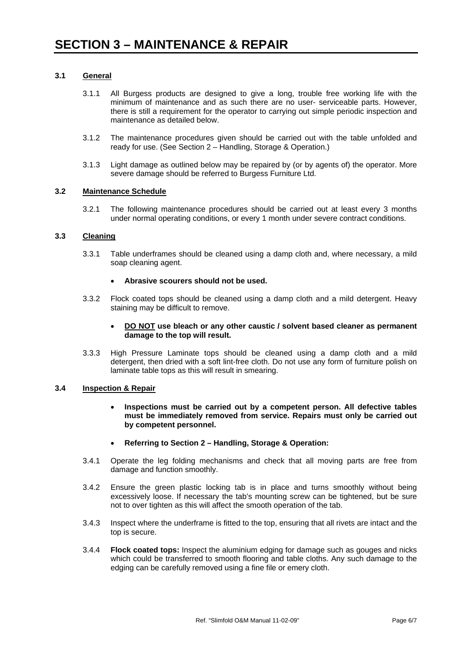#### **3.1 General**

- 3.1.1 All Burgess products are designed to give a long, trouble free working life with the minimum of maintenance and as such there are no user- serviceable parts. However, there is still a requirement for the operator to carrying out simple periodic inspection and maintenance as detailed below.
- 3.1.2 The maintenance procedures given should be carried out with the table unfolded and ready for use. (See Section 2 – Handling, Storage & Operation.)
- 3.1.3 Light damage as outlined below may be repaired by (or by agents of) the operator. More severe damage should be referred to Burgess Furniture Ltd.

#### **3.2 Maintenance Schedule**

3.2.1 The following maintenance procedures should be carried out at least every 3 months under normal operating conditions, or every 1 month under severe contract conditions.

#### **3.3 Cleaning**

3.3.1 Table underframes should be cleaned using a damp cloth and, where necessary, a mild soap cleaning agent.

#### • **Abrasive scourers should not be used.**

3.3.2 Flock coated tops should be cleaned using a damp cloth and a mild detergent. Heavy staining may be difficult to remove.

#### • **DO NOT use bleach or any other caustic / solvent based cleaner as permanent damage to the top will result.**

3.3.3 High Pressure Laminate tops should be cleaned using a damp cloth and a mild detergent, then dried with a soft lint-free cloth. Do not use any form of furniture polish on laminate table tops as this will result in smearing.

#### **3.4 Inspection & Repair**

- **Inspections must be carried out by a competent person. All defective tables must be immediately removed from service. Repairs must only be carried out by competent personnel.**
- **Referring to Section 2 Handling, Storage & Operation:**
- 3.4.1 Operate the leg folding mechanisms and check that all moving parts are free from damage and function smoothly.
- 3.4.2 Ensure the green plastic locking tab is in place and turns smoothly without being excessively loose. If necessary the tab's mounting screw can be tightened, but be sure not to over tighten as this will affect the smooth operation of the tab.
- 3.4.3 Inspect where the underframe is fitted to the top, ensuring that all rivets are intact and the top is secure.
- 3.4.4 **Flock coated tops:** Inspect the aluminium edging for damage such as gouges and nicks which could be transferred to smooth flooring and table cloths. Any such damage to the edging can be carefully removed using a fine file or emery cloth.